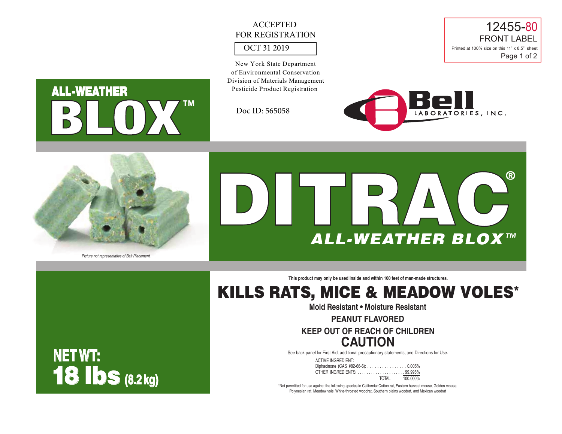# ACCEPTED FOR REGISTRATION

## OCT 31 2019

New York State Department of Environmental Conservation Division of Materials Management Pesticide Product Registration

Doc ID: 565058









*Picture not representative of Bait Placement.* 

# DITRAC**®** *ALL-WEATHER BLOX ™*

**This product may only be used inside and within 100 feet of man-made structures.**

# KILLS RATS, MICE & MEADOW VOLES\*

**Mold Resistant • Moisture Resistant**

# **PEANUT FLAVORED**

**KEEP OUT OF REACH OF CHILDREN CAUTION**

See back panel for First Aid, additional precautionary statements, and Directions for Use.

| <b>ACTIVE INGREDIENT:</b>          |                |  |
|------------------------------------|----------------|--|
| Diphacinone (CAS #82-66-6): 0.005% |                |  |
| OTHER INGREDIENTS: 99.995%         |                |  |
|                                    | TOTAL 100.000% |  |

\*Not permitted for use against the following species in California: Cotton rat, Eastern harvest mouse, Golden mouse, Polynesian rat, Meadow vole, White-throated woodrat, Southern plains woodrat, and Mexican woodrat

# **NET WT:** 18 lbs **(8.2 kg)**